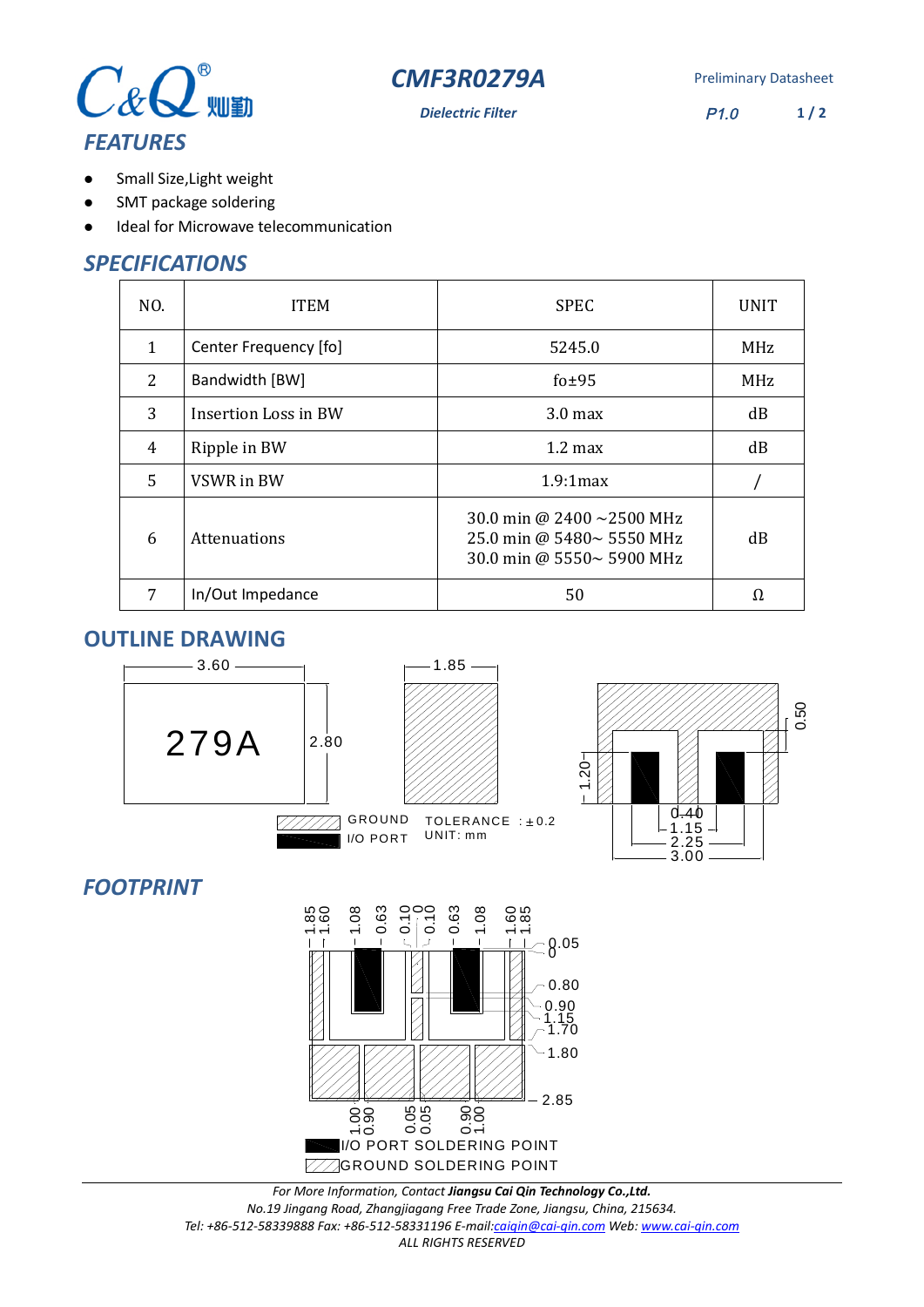



**Dielectric Filter** P1.0 **1 / 2**

- Small Size,Light weight  $\bullet$
- SMT package soldering  $\bullet$
- Ideal for Microwave telecommunication  $\bullet$

## *SPECIFICATIONS*

| NO.          | <b>ITEM</b>           | <b>SPEC</b>                                                                         | <b>UNIT</b> |
|--------------|-----------------------|-------------------------------------------------------------------------------------|-------------|
| $\mathbf{1}$ | Center Frequency [fo] | 5245.0                                                                              | MHz         |
| 2            | Bandwidth [BW]        | fo $±95$                                                                            | <b>MHz</b>  |
| 3            | Insertion Loss in BW  | 3.0 <sub>max</sub>                                                                  | dB          |
| 4            | Ripple in BW          | $1.2 \text{ max}$                                                                   | dB          |
| 5            | VSWR in BW            | $1.9.1$ max                                                                         |             |
| 6            | Attenuations          | 30.0 min @ 2400 ~2500 MHz<br>25.0 min @ 5480~ 5550 MHz<br>30.0 min @ 5550~ 5900 MHz | dB          |
| 7            | In/Out Impedance      | 50                                                                                  | Ω.          |

#### **OUTLINE DRAWING**



# *FOOTPRINT*



*For More Information, Contact Jiangsu Cai Qin Technology Co.,Ltd. No.19 Jingang Road, Zhangjiagang Free Trade Zone, Jiangsu, China, 215634. Tel: +86-512-58339888 Fax: +86-512-58331196 E-mail:caiqin@cai-qin.com Web: www.cai-qin.com ALL RIGHTS RESERVED*